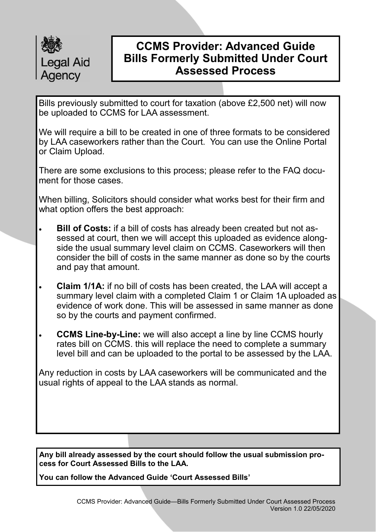

Bills previously submitted to court for taxation (above £2,500 net) will now be uploaded to CCMS for LAA assessment.

We will require a bill to be created in one of three formats to be considered by LAA caseworkers rather than the Court. You can use the Online Portal or Claim Upload.

There are some exclusions to this process; please refer to the FAQ document for those cases.

When billing, Solicitors should consider what works best for their firm and what option offers the best approach:

- **Bill of Costs:** if a bill of costs has already been created but not assessed at court, then we will accept this uploaded as evidence alongside the usual summary level claim on CCMS. Caseworkers will then consider the bill of costs in the same manner as done so by the courts and pay that amount.
- **Claim 1/1A:** if no bill of costs has been created, the LAA will accept a summary level claim with a completed Claim 1 or Claim 1A uploaded as evidence of work done. This will be assessed in same manner as done so by the courts and payment confirmed.
- **CCMS Line-by-Line:** we will also accept a line by line CCMS hourly rates bill on CCMS. this will replace the need to complete a summary level bill and can be uploaded to the portal to be assessed by the LAA.

Any reduction in costs by LAA caseworkers will be communicated and the usual rights of appeal to the LAA stands as normal.

**Any bill already assessed by the court should follow the usual submission process for Court Assessed Bills to the LAA.**

**You can follow the Advanced Guide 'Court Assessed Bills'**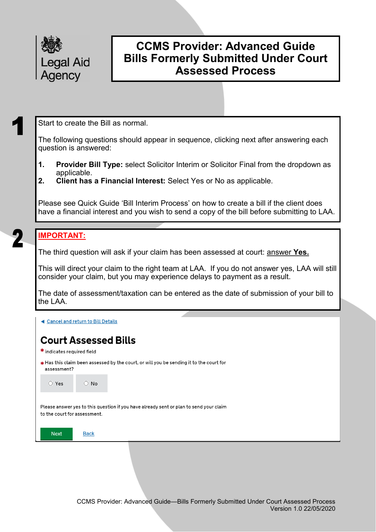

Start to create the Bill as normal.

The following questions should appear in sequence, clicking next after answering each question is answered:

- **1. Provider Bill Type:** select Solicitor Interim or Solicitor Final from the dropdown as applicable.
- **2. Client has a Financial Interest:** Select Yes or No as applicable.

Please see Quick Guide 'Bill Interim Process' on how to create a bill if the client does have a financial interest and you wish to send a copy of the bill before submitting to LAA.

## **IMPORTANT:**

The third question will ask if your claim has been assessed at court: answer **Yes.**

This will direct your claim to the right team at LAA. If you do not answer yes, LAA will still consider your claim, but you may experience delays to payment as a result.

The date of assessment/taxation can be entered as the date of submission of your bill to the LAA.

◀ Cancel and return to Bill Details

## **Court Assessed Bills**

- \* indicates required field
- Has this claim been assessed by the court, or will you be sending it to the court for assessment?

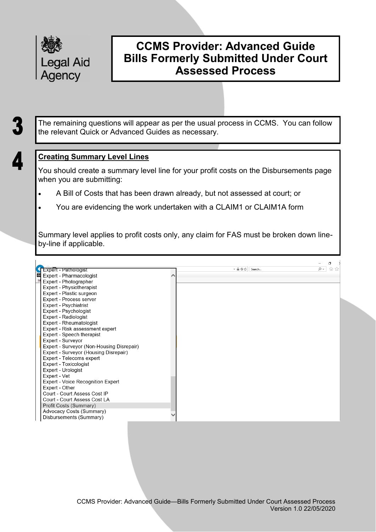

The remaining questions will appear as per the usual process in CCMS. You can follow the relevant Quick or Advanced Guides as necessary.

### **Creating Summary Level Lines**

You should create a summary level line for your profit costs on the Disbursements page when you are submitting:

- A Bill of Costs that has been drawn already, but not assessed at court; or
- You are evidencing the work undertaken with a CLAIM1 or CLAIM1A form

Summary level applies to profit costs only, any claim for FAS must be broken down lineby-line if applicable.

|                                           |               |        |          | σ   |
|-------------------------------------------|---------------|--------|----------|-----|
| Expert - Pathologist                      | $- A \odot C$ | Search | $\sim$ Q | 삶 차 |
| db)<br>Expert - Pharmacologist            |               |        |          |     |
| Expert - Photographer                     |               |        |          |     |
| Expert - Physiotherapist                  |               |        |          |     |
| Expert - Plastic surgeon                  |               |        |          |     |
| Expert - Process server                   |               |        |          |     |
| Expert - Psychiatrist                     |               |        |          |     |
| Expert - Psychologist                     |               |        |          |     |
| Expert - Radiologist                      |               |        |          |     |
| Expert - Rheumatologist                   |               |        |          |     |
| Expert - Risk assessment expert           |               |        |          |     |
| Expert - Speech therapist                 |               |        |          |     |
| Expert - Surveyor                         |               |        |          |     |
| Expert - Surveyor (Non-Housing Disrepair) |               |        |          |     |
| Expert - Surveyor (Housing Disrepair)     |               |        |          |     |
| Expert - Telecoms expert                  |               |        |          |     |
| Expert - Toxicologist                     |               |        |          |     |
| Expert - Urologist                        |               |        |          |     |
| Expert - Vet                              |               |        |          |     |
| Expert - Voice Recognition Expert         |               |        |          |     |
| Expert - Other                            |               |        |          |     |
| Court - Court Assess Cost IP              |               |        |          |     |
| Court Court Assess Cost LA                |               |        |          |     |
| Profit Costs (Summary)                    |               |        |          |     |
| Advocacy Costs (Summary)                  |               |        |          |     |
| Disbursements (Summary)                   |               |        |          |     |
|                                           |               |        |          |     |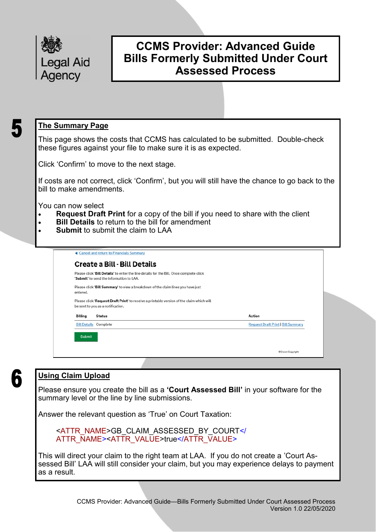

### **The Summary Page**

This page shows the costs that CCMS has calculated to be submitted. Double-check these figures against your file to make sure it is as expected.

Click 'Confirm' to move to the next stage.

If costs are not correct, click 'Confirm', but you will still have the chance to go back to the bill to make amendments.

You can now select

- **Request Draft Print** for a copy of the bill if you need to share with the client
- **Bill Details** to return to the bill for amendment
- **Submit** to submit the claim to LAA

|          | Please click 'Bill Details' to enter the line details for the Bill. Once complete click<br>'Submit' to send the information to LAA. |                                           |
|----------|-------------------------------------------------------------------------------------------------------------------------------------|-------------------------------------------|
| entered. | Please click 'Bill Summary' to view a breakdown of the claim lines you have just                                                    |                                           |
|          | Please click 'Request Draft Print' to receive a printable version of the claim which will<br>be sent to you as a notification.      |                                           |
| Billing  | Status                                                                                                                              | <b>Action</b>                             |
|          | <b>Bill Details Complete</b>                                                                                                        | <b>Request Draft Print   Bill Summary</b> |

# 6

## **Using Claim Upload**

Please ensure you create the bill as a **'Court Assessed Bill'** in your software for the summary level or the line by line submissions.

Answer the relevant question as 'True' on Court Taxation:

<ATTR\_NAME>GB\_CLAIM\_ASSESSED\_BY\_COURT</ ATTR\_NAME><ATTR\_VALUE>true</ATTR\_VALUE>

This will direct your claim to the right team at LAA. If you do not create a 'Court Assessed Bill' LAA will still consider your claim, but you may experience delays to payment as a result.